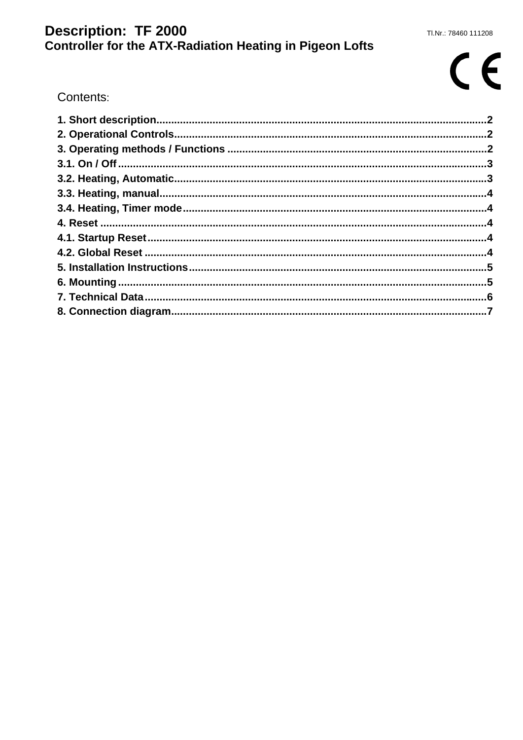## Description: TF 2000<br>Controller for the ATX-Radiation Heating in Pigeon Lofts

# $C<sub>f</sub>$

Contents: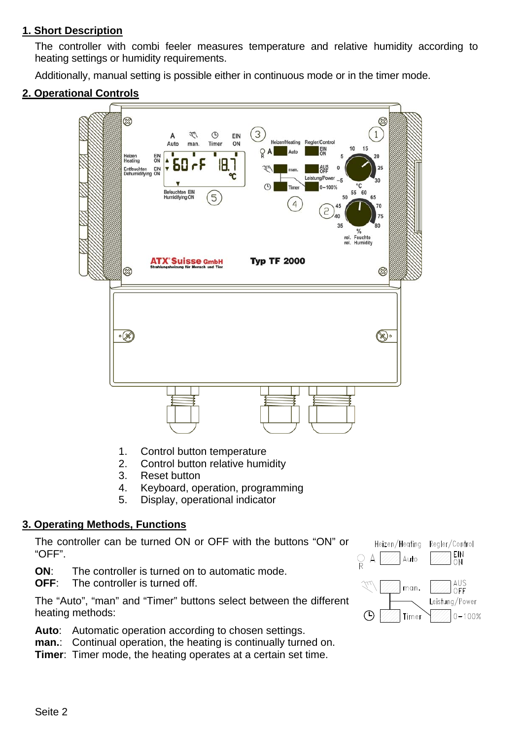#### **1. Short Description**

The controller with combi feeler measures temperature and relative humidity according to heating settings or humidity requirements.

Additionally, manual setting is possible either in continuous mode or in the timer mode.

#### **2. Operational Controls**



- 1. Control button temperature
- 2. Control button relative humidity
- 3. Reset button
- 4. Keyboard, operation, programming
- 5. Display, operational indicator

#### **3. Operating Methods, Functions**

The controller can be turned ON or OFF with the buttons "ON" or "OFF".

**ON**: The controller is turned on to automatic mode.

**OFF:** The controller is turned off.

The "Auto", "man" and "Timer" buttons select between the different heating methods:

**Auto**: Automatic operation according to chosen settings.

**man.**: Continual operation, the heating is continually turned on.

**Timer**: Timer mode, the heating operates at a certain set time.

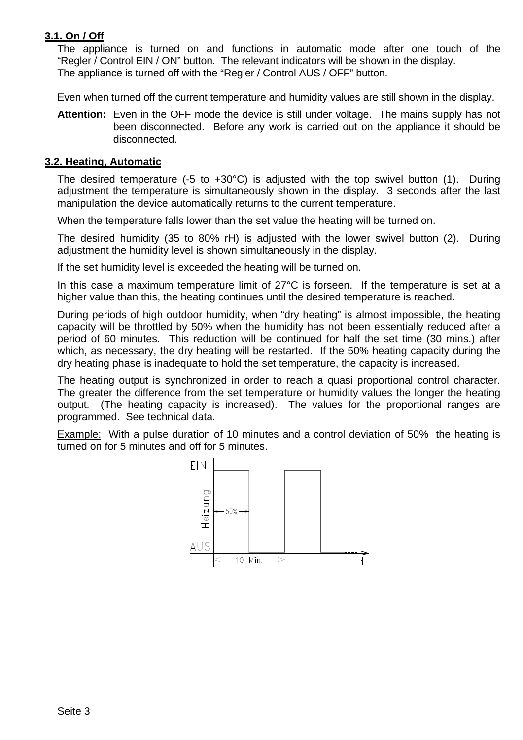### **3.1. On / Off**

The appliance is turned on and functions in automatic mode after one touch of the "Regler / Control EIN / ON" button. The relevant indicators will be shown in the display. The appliance is turned off with the "Regler / Control AUS / OFF" button.

Even when turned off the current temperature and humidity values are still shown in the display.

**Attention:** Even in the OFF mode the device is still under voltage. The mains supply has not been disconnected. Before any work is carried out on the appliance it should be disconnected.

#### **3.2. Heating, Automatic**

The desired temperature (-5 to +30°C) is adjusted with the top swivel button (1). During adjustment the temperature is simultaneously shown in the display. 3 seconds after the last manipulation the device automatically returns to the current temperature.

When the temperature falls lower than the set value the heating will be turned on.

The desired humidity (35 to 80% rH) is adjusted with the lower swivel button (2). During adjustment the humidity level is shown simultaneously in the display.

If the set humidity level is exceeded the heating will be turned on.

In this case a maximum temperature limit of 27°C is forseen. If the temperature is set at a higher value than this, the heating continues until the desired temperature is reached.

During periods of high outdoor humidity, when "dry heating" is almost impossible, the heating capacity will be throttled by 50% when the humidity has not been essentially reduced after a period of 60 minutes. This reduction will be continued for half the set time (30 mins.) after which, as necessary, the dry heating will be restarted. If the 50% heating capacity during the dry heating phase is inadequate to hold the set temperature, the capacity is increased.

The heating output is synchronized in order to reach a quasi proportional control character. The greater the difference from the set temperature or humidity values the longer the heating output. (The heating capacity is increased). The values for the proportional ranges are programmed. See technical data.

**Example:** With a pulse duration of 10 minutes and a control deviation of 50% the heating is turned on for 5 minutes and off for 5 minutes.

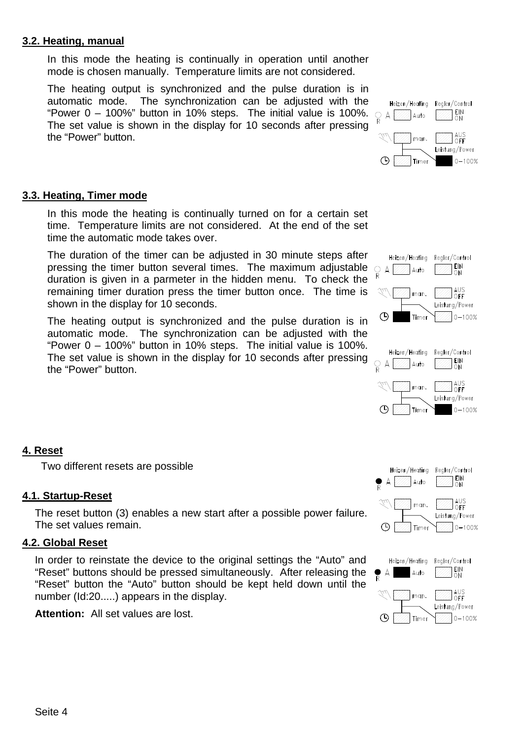#### **3.2. Heating, manual**

In this mode the heating is continually in operation until another mode is chosen manually. Temperature limits are not considered.

The heating output is synchronized and the pulse duration is in automatic mode. The synchronization can be adjusted with the "Power 0 – 100%" button in 10% steps. The initial value is 100%. The set value is shown in the display for 10 seconds after pressing the "Power" button.

#### Heizen/Heatina Realer/Control EIN<br>ON  $\circledcirc$  A  $[$ Auto AUS<br>OFF man. Leistung/Power  $\bigcirc$ Timer  $0 - 100%$

#### **3.3. Heating, Timer mode**

In this mode the heating is continually turned on for a certain set time. Temperature limits are not considered. At the end of the set time the automatic mode takes over.

The duration of the timer can be adjusted in 30 minute steps after pressing the timer button several times. The maximum adjustable  $\bigcirc_{R} A$ duration is given in a parmeter in the hidden menu. To check the remaining timer duration press the timer button once. The time is shown in the display for 10 seconds.

The heating output is synchronized and the pulse duration is in automatic mode. The synchronization can be adjusted with the "Power 0 – 100%" button in 10% steps. The initial value is 100%. The set value is shown in the display for 10 seconds after pressing the "Power" button.





#### **4. Reset**

Two different resets are possible

#### **4.1. Startup-Reset**

The reset button (3) enables a new start after a possible power failure. The set values remain.

#### **4.2. Global Reset**

In order to reinstate the device to the original settings the "Auto" and "Reset" buttons should be pressed simultaneously. After releasing the "Reset" button the "Auto" button should be kept held down until the number (Id:20.....) appears in the display.

**Attention:** All set values are lost.



Timer

 $|0 - 100%$ 

 $\circledcirc$ 

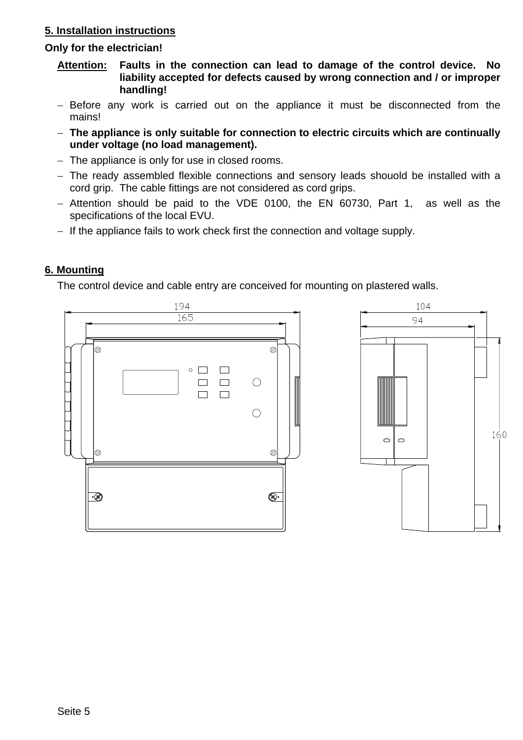### **5. Installation instructions**

#### **Only for the electrician!**

- **Attention: Faults in the connection can lead to damage of the control device. No liability accepted for defects caused by wrong connection and / or improper handling!**
- − Before any work is carried out on the appliance it must be disconnected from the mains!
- − **The appliance is only suitable for connection to electric circuits which are continually under voltage (no load management).**
- − The appliance is only for use in closed rooms.
- − The ready assembled flexible connections and sensory leads shouold be installed with a cord grip. The cable fittings are not considered as cord grips.
- − Attention should be paid to the VDE 0100, the EN 60730, Part 1, as well as the specifications of the local EVU.
- − If the appliance fails to work check first the connection and voltage supply.

#### **6. Mounting**

The control device and cable entry are conceived for mounting on plastered walls.

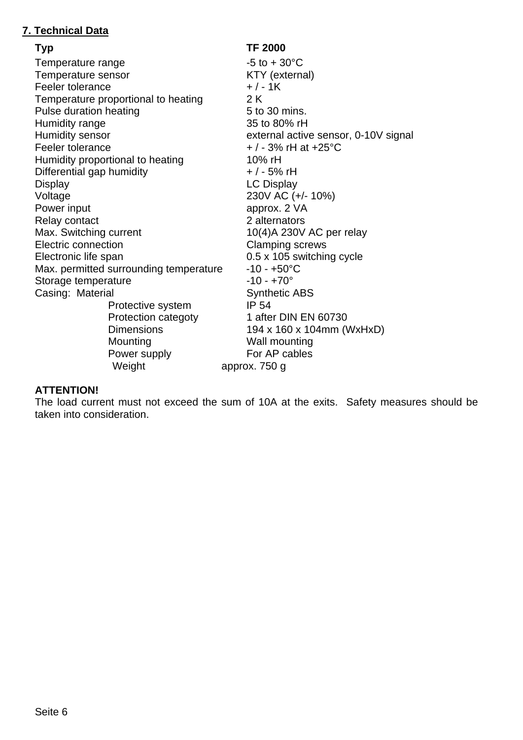### **7. Technical Data**

**Typ TF 2000**  Temperature range  $-5$  to  $+30^{\circ}$ C Temperature sensor **EXACTE CONTENT** KTY (external) Feeler tolerance  $+/-1$ K Temperature proportional to heating 2 K Pulse duration heating entitled by the 5 to 30 mins. Humidity range 35 to 80% rH Humidity sensor external active sensor, 0-10V signal Feeler tolerance  $+/-3\%$  rH at +25°C Humidity proportional to heating 10% rH Differential gap humidity  $+/-5\%$  rH Display **LC Display** Voltage 230V AC (+/- 10%) Power input approx. 2 VA Relay contact 2 alternators Max. Switching current 10(4)A 230V AC per relay Electric connection **Clamping screws** Electronic life span 0.5 x 105 switching cycle Max. permitted surrounding temperature  $-10 - +50^{\circ}C$ Storage temperature  $-10 - +70^{\circ}$ Casing: Material Synthetic ABS Protective system IP 54 Protection categoty 1 after DIN EN 60730 Dimensions 194 x 160 x 104mm (WxHxD) Mounting Wall mounting Power supply For AP cables Weight **approx.** 750 g

#### **ATTENTION!**

The load current must not exceed the sum of 10A at the exits. Safety measures should be taken into consideration.